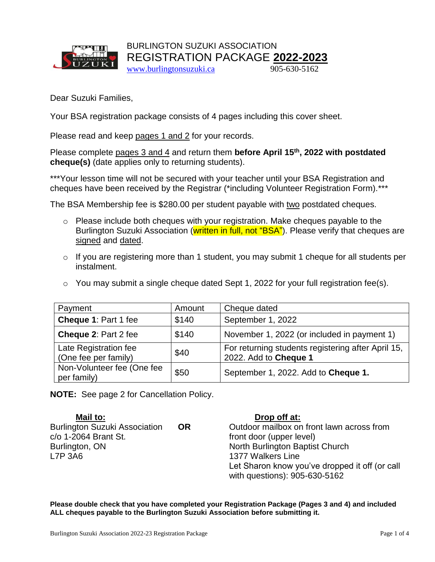

BURLINGTON SUZUKI ASSOCIATION REGISTRATION PACKAGE **2022-2023** [www.burlingtonsuzuki.ca](http://www.burlingtonsuzuki.ca/)905-630-5162

Dear Suzuki Families,

Your BSA registration package consists of 4 pages including this cover sheet.

Please read and keep pages 1 and 2 for your records.

Please complete pages 3 and 4 and return them **before April 15th, 2022 with postdated cheque(s)** (date applies only to returning students).

\*\*\*Your lesson time will not be secured with your teacher until your BSA Registration and cheques have been received by the Registrar (\*including Volunteer Registration Form).\*\*\*

The BSA Membership fee is \$280.00 per student payable with two postdated cheques.

- o Please include both cheques with your registration. Make cheques payable to the Burlington Suzuki Association (written in full, not "BSA"). Please verify that cheques are signed and dated.
- o If you are registering more than 1 student, you may submit 1 cheque for all students per instalment.
- $\circ$  You may submit a single cheque dated Sept 1, 2022 for your full registration fee(s).

| Payment                                       | Amount | Cheque dated                                                                |  |
|-----------------------------------------------|--------|-----------------------------------------------------------------------------|--|
| Cheque 1: Part 1 fee                          | \$140  | September 1, 2022                                                           |  |
| Cheque 2: Part 2 fee                          | \$140  | November 1, 2022 (or included in payment 1)                                 |  |
| Late Registration fee<br>(One fee per family) | \$40   | For returning students registering after April 15,<br>2022. Add to Cheque 1 |  |
| Non-Volunteer fee (One fee<br>per family)     | \$50   | September 1, 2022. Add to Cheque 1.                                         |  |

**NOTE:** See page 2 for Cancellation Policy.

**Mail to: Drop off at:** c/o 1-2064 Brant St. **front door** (upper level) Burlington, ON North Burlington Baptist Church L7P 3A6 1377 Walkers Line

**OR** Outdoor mailbox on front lawn across from Let Sharon know you've dropped it off (or call with questions): 905-630-5162

**Please double check that you have completed your Registration Package (Pages 3 and 4) and included ALL cheques payable to the Burlington Suzuki Association before submitting it.**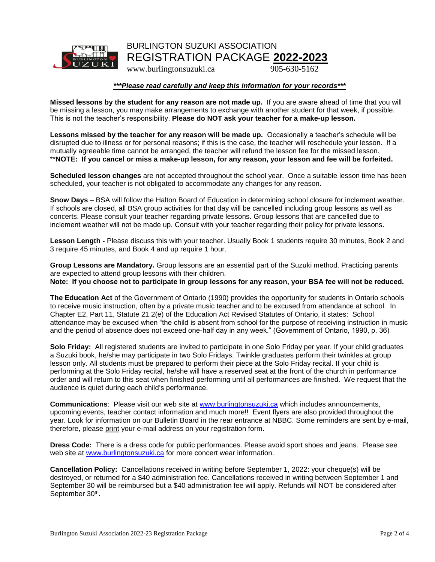

### BURLINGTON SUZUKI ASSOCIATION REGISTRATION PACKAGE **2022-2023**

www.burlingtonsuzuki.ca905-630-5162

#### *\*\*\*Please read carefully and keep this information for your records\*\*\**

**Missed lessons by the student for any reason are not made up.** If you are aware ahead of time that you will be missing a lesson, you may make arrangements to exchange with another student for that week, if possible. This is not the teacher's responsibility. **Please do NOT ask your teacher for a make-up lesson.**

**Lessons missed by the teacher for any reason will be made up.** Occasionally a teacher's schedule will be disrupted due to illness or for personal reasons; if this is the case, the teacher will reschedule your lesson. If a mutually agreeable time cannot be arranged, the teacher will refund the lesson fee for the missed lesson. \*\***NOTE: If you cancel or miss a make-up lesson, for any reason, your lesson and fee will be forfeited.**

**Scheduled lesson changes** are not accepted throughout the school year. Once a suitable lesson time has been scheduled, your teacher is not obligated to accommodate any changes for any reason.

**Snow Days** – BSA will follow the Halton Board of Education in determining school closure for inclement weather. If schools are closed, all BSA group activities for that day will be cancelled including group lessons as well as concerts. Please consult your teacher regarding private lessons. Group lessons that are cancelled due to inclement weather will not be made up. Consult with your teacher regarding their policy for private lessons.

**Lesson Length -** Please discuss this with your teacher. Usually Book 1 students require 30 minutes, Book 2 and 3 require 45 minutes, and Book 4 and up require 1 hour.

**Group Lessons are Mandatory.** Group lessons are an essential part of the Suzuki method. Practicing parents are expected to attend group lessons with their children. **Note: If you choose not to participate in group lessons for any reason, your BSA fee will not be reduced.**

**The Education Act** of the Government of Ontario (1990) provides the opportunity for students in Ontario schools to receive music instruction, often by a private music teacher and to be excused from attendance at school. In Chapter E2, Part 11, Statute 21.2(e) of the Education Act Revised Statutes of Ontario, it states: School attendance may be excused when "the child is absent from school for the purpose of receiving instruction in music and the period of absence does not exceed one-half day in any week." (Government of Ontario, 1990, p. 36)

**Solo Friday:** All registered students are invited to participate in one Solo Friday per year. If your child graduates a Suzuki book, he/she may participate in two Solo Fridays. Twinkle graduates perform their twinkles at group lesson only. All students must be prepared to perform their piece at the Solo Friday recital. If your child is performing at the Solo Friday recital, he/she will have a reserved seat at the front of the church in performance order and will return to this seat when finished performing until all performances are finished. We request that the audience is quiet during each child's performance.

**Communications**: Please visit our web site at [www.burlingtonsuzuki.ca](http://www.burlingtonsuzuki.ca/) which includes announcements, upcoming events, teacher contact information and much more!! Event flyers are also provided throughout the year. Look for information on our Bulletin Board in the rear entrance at NBBC. Some reminders are sent by e-mail, therefore, please print your e-mail address on your registration form.

**Dress Code:** There is a dress code for public performances. Please avoid sport shoes and jeans. Please see web site at [www.burlingtonsuzuki.ca](http://www.burlingtonsuzuki.ca/) for more concert wear information.

**Cancellation Policy:** Cancellations received in writing before September 1, 2022: your cheque(s) will be destroyed, or returned for a \$40 administration fee. Cancellations received in writing between September 1 and September 30 will be reimbursed but a \$40 administration fee will apply. Refunds will NOT be considered after September 30<sup>th</sup>.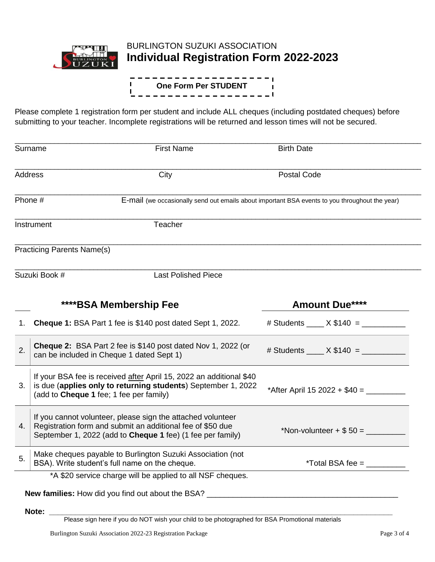

# BURLINGTON SUZUKI ASSOCIATION **Individual Registration Form 2022-2023**

#### $=$  1  $\mathbf{I}$ **One Form Per STUDENT** $\blacksquare$ T. ----------------**|**

Please complete 1 registration form per student and include ALL cheques (including postdated cheques) before submitting to your teacher. Incomplete registrations will be returned and lesson times will not be secured.

|    | Surname                                                                                                                                                                                        | <b>First Name</b>                                                                                                | <b>Birth Date</b>                               |
|----|------------------------------------------------------------------------------------------------------------------------------------------------------------------------------------------------|------------------------------------------------------------------------------------------------------------------|-------------------------------------------------|
|    | <b>Address</b>                                                                                                                                                                                 | City                                                                                                             | <b>Postal Code</b>                              |
|    | Phone #                                                                                                                                                                                        | E-mail (we occasionally send out emails about important BSA events to you throughout the year)                   |                                                 |
|    | Instrument                                                                                                                                                                                     | Teacher                                                                                                          |                                                 |
|    | <b>Practicing Parents Name(s)</b>                                                                                                                                                              |                                                                                                                  |                                                 |
|    | Suzuki Book #                                                                                                                                                                                  | <b>Last Polished Piece</b>                                                                                       |                                                 |
|    |                                                                                                                                                                                                | ****BSA Membership Fee                                                                                           | <b>Amount Due****</b>                           |
| 1. |                                                                                                                                                                                                | <b>Cheque 1: BSA Part 1 fee is \$140 post dated Sept 1, 2022.</b>                                                | $\#$ Students $X$ \$140 =                       |
| 2. |                                                                                                                                                                                                | <b>Cheque 2:</b> BSA Part 2 fee is \$140 post dated Nov 1, 2022 (or<br>can be included in Cheque 1 dated Sept 1) | # Students _____ $X $140 =$ ____________        |
| 3. | If your BSA fee is received after April 15, 2022 an additional \$40<br>is due (applies only to returning students) September 1, 2022<br>(add to Cheque 1 fee; 1 fee per family)                |                                                                                                                  | *After April 15 2022 + $$40 =$                  |
| 4. | If you cannot volunteer, please sign the attached volunteer<br>Registration form and submit an additional fee of \$50 due<br>September 1, 2022 (add to <b>Cheque 1</b> fee) (1 fee per family) |                                                                                                                  | *Non-volunteer + $$50 =$                        |
| 5. |                                                                                                                                                                                                | Make cheques payable to Burlington Suzuki Association (not<br>BSA). Write student's full name on the cheque.     | *Total BSA fee = $\_\_\_\_\_\_\_\_\_\_\_\_\_\_$ |
|    |                                                                                                                                                                                                | *A \$20 service charge will be applied to all NSF cheques.                                                       |                                                 |
|    |                                                                                                                                                                                                | New families: How did you find out about the BSA? _______________________________                                |                                                 |
|    | Note:                                                                                                                                                                                          |                                                                                                                  |                                                 |
|    |                                                                                                                                                                                                | Please sign here if you do NOT wish your child to be photographed for BSA Promotional materials                  |                                                 |